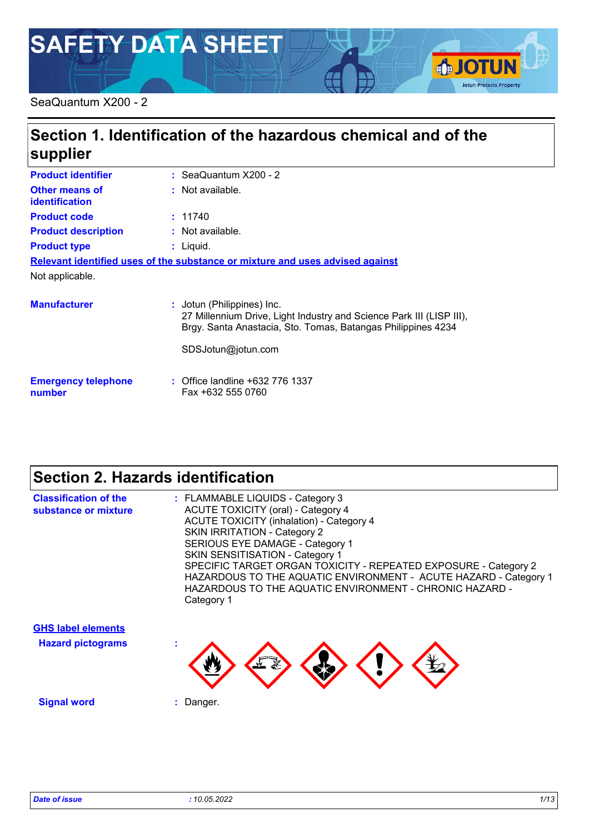# **SAFETY DATA SHEET**

#### SeaQuantum X200 - 2

# **Section 1. Identification of the hazardous chemical and of the supplier**

| <b>Product identifier</b>                                                     |  | $:$ SeaQuantum $X200 - 2$                                                                                                                                                                |
|-------------------------------------------------------------------------------|--|------------------------------------------------------------------------------------------------------------------------------------------------------------------------------------------|
| <b>Other means of</b><br>identification                                       |  | : Not available.                                                                                                                                                                         |
| <b>Product code</b>                                                           |  | : 11740                                                                                                                                                                                  |
| <b>Product description</b>                                                    |  | : Not available.                                                                                                                                                                         |
| <b>Product type</b>                                                           |  | $:$ Liquid.                                                                                                                                                                              |
| Relevant identified uses of the substance or mixture and uses advised against |  |                                                                                                                                                                                          |
| Not applicable.                                                               |  |                                                                                                                                                                                          |
| <b>Manufacturer</b>                                                           |  | : Jotun (Philippines) Inc.<br>27 Millennium Drive, Light Industry and Science Park III (LISP III),<br>Brgy. Santa Anastacia, Sto. Tomas, Batangas Philippines 4234<br>SDSJotun@jotun.com |
| <b>Emergency telephone</b><br>number                                          |  | : Office landline +632 776 1337<br>Fax +632 555 0760                                                                                                                                     |

### **Section 2. Hazards identification**

| <b>Classification of the</b><br>substance or mixture | : FLAMMABLE LIQUIDS - Category 3<br><b>ACUTE TOXICITY (oral) - Category 4</b><br><b>ACUTE TOXICITY (inhalation) - Category 4</b><br><b>SKIN IRRITATION - Category 2</b><br>SERIOUS EYE DAMAGE - Category 1<br><b>SKIN SENSITISATION - Category 1</b><br>SPECIFIC TARGET ORGAN TOXICITY - REPEATED EXPOSURE - Category 2<br>HAZARDOUS TO THE AQUATIC ENVIRONMENT - ACUTE HAZARD - Category 1<br>HAZARDOUS TO THE AQUATIC ENVIRONMENT - CHRONIC HAZARD -<br>Category 1 |
|------------------------------------------------------|----------------------------------------------------------------------------------------------------------------------------------------------------------------------------------------------------------------------------------------------------------------------------------------------------------------------------------------------------------------------------------------------------------------------------------------------------------------------|
| <b>GHS label elements</b>                            |                                                                                                                                                                                                                                                                                                                                                                                                                                                                      |
| <b>Hazard pictograms</b>                             |                                                                                                                                                                                                                                                                                                                                                                                                                                                                      |

**Signal word :** Danger.

**SJOTUN** 

**Jotun Protects Property**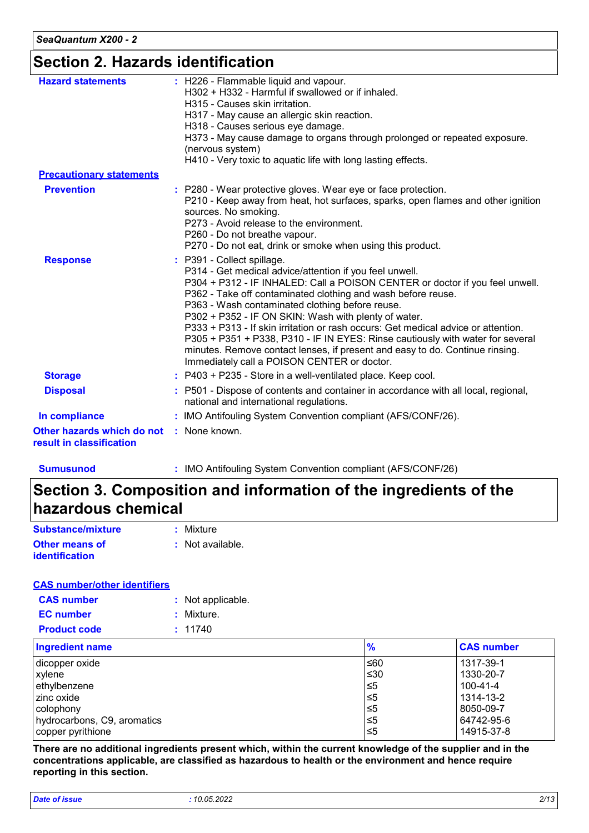### **Section 2. Hazards identification**

| : H226 - Flammable liquid and vapour.<br><b>Hazard statements</b><br>H302 + H332 - Harmful if swallowed or if inhaled.<br>H315 - Causes skin irritation.<br>H317 - May cause an allergic skin reaction.<br>H318 - Causes serious eye damage.<br>H373 - May cause damage to organs through prolonged or repeated exposure.<br>(nervous system)<br>H410 - Very toxic to aquatic life with long lasting effects.<br><b>Precautionary statements</b><br><b>Prevention</b><br>: P280 - Wear protective gloves. Wear eye or face protection.<br>P210 - Keep away from heat, hot surfaces, sparks, open flames and other ignition<br>sources. No smoking.<br>P273 - Avoid release to the environment.<br>P260 - Do not breathe vapour.<br>P270 - Do not eat, drink or smoke when using this product.<br>: P391 - Collect spillage.<br><b>Response</b><br>P314 - Get medical advice/attention if you feel unwell.<br>P304 + P312 - IF INHALED: Call a POISON CENTER or doctor if you feel unwell.<br>P362 - Take off contaminated clothing and wash before reuse.<br>P363 - Wash contaminated clothing before reuse.<br>P302 + P352 - IF ON SKIN: Wash with plenty of water.<br>P333 + P313 - If skin irritation or rash occurs: Get medical advice or attention.<br>P305 + P351 + P338, P310 - IF IN EYES: Rinse cautiously with water for several<br>minutes. Remove contact lenses, if present and easy to do. Continue rinsing.<br>Immediately call a POISON CENTER or doctor.<br>: P403 + P235 - Store in a well-ventilated place. Keep cool.<br><b>Storage</b><br><b>Disposal</b><br>: P501 - Dispose of contents and container in accordance with all local, regional,<br>national and international regulations.<br>: IMO Antifouling System Convention compliant (AFS/CONF/26).<br>In compliance<br>: None known.<br>Other hazards which do not |                          |  |
|--------------------------------------------------------------------------------------------------------------------------------------------------------------------------------------------------------------------------------------------------------------------------------------------------------------------------------------------------------------------------------------------------------------------------------------------------------------------------------------------------------------------------------------------------------------------------------------------------------------------------------------------------------------------------------------------------------------------------------------------------------------------------------------------------------------------------------------------------------------------------------------------------------------------------------------------------------------------------------------------------------------------------------------------------------------------------------------------------------------------------------------------------------------------------------------------------------------------------------------------------------------------------------------------------------------------------------------------------------------------------------------------------------------------------------------------------------------------------------------------------------------------------------------------------------------------------------------------------------------------------------------------------------------------------------------------------------------------------------------------------------------------------------------------------------------------------------------------------|--------------------------|--|
|                                                                                                                                                                                                                                                                                                                                                                                                                                                                                                                                                                                                                                                                                                                                                                                                                                                                                                                                                                                                                                                                                                                                                                                                                                                                                                                                                                                                                                                                                                                                                                                                                                                                                                                                                                                                                                                  |                          |  |
|                                                                                                                                                                                                                                                                                                                                                                                                                                                                                                                                                                                                                                                                                                                                                                                                                                                                                                                                                                                                                                                                                                                                                                                                                                                                                                                                                                                                                                                                                                                                                                                                                                                                                                                                                                                                                                                  |                          |  |
|                                                                                                                                                                                                                                                                                                                                                                                                                                                                                                                                                                                                                                                                                                                                                                                                                                                                                                                                                                                                                                                                                                                                                                                                                                                                                                                                                                                                                                                                                                                                                                                                                                                                                                                                                                                                                                                  |                          |  |
|                                                                                                                                                                                                                                                                                                                                                                                                                                                                                                                                                                                                                                                                                                                                                                                                                                                                                                                                                                                                                                                                                                                                                                                                                                                                                                                                                                                                                                                                                                                                                                                                                                                                                                                                                                                                                                                  |                          |  |
|                                                                                                                                                                                                                                                                                                                                                                                                                                                                                                                                                                                                                                                                                                                                                                                                                                                                                                                                                                                                                                                                                                                                                                                                                                                                                                                                                                                                                                                                                                                                                                                                                                                                                                                                                                                                                                                  |                          |  |
|                                                                                                                                                                                                                                                                                                                                                                                                                                                                                                                                                                                                                                                                                                                                                                                                                                                                                                                                                                                                                                                                                                                                                                                                                                                                                                                                                                                                                                                                                                                                                                                                                                                                                                                                                                                                                                                  |                          |  |
|                                                                                                                                                                                                                                                                                                                                                                                                                                                                                                                                                                                                                                                                                                                                                                                                                                                                                                                                                                                                                                                                                                                                                                                                                                                                                                                                                                                                                                                                                                                                                                                                                                                                                                                                                                                                                                                  |                          |  |
|                                                                                                                                                                                                                                                                                                                                                                                                                                                                                                                                                                                                                                                                                                                                                                                                                                                                                                                                                                                                                                                                                                                                                                                                                                                                                                                                                                                                                                                                                                                                                                                                                                                                                                                                                                                                                                                  | result in classification |  |

**Sumusunod :** IMO Antifouling System Convention compliant (AFS/CONF/26)

# **Section 3. Composition and information of the ingredients of the hazardous chemical**

| Substance/mixture                              | : Mixture        |
|------------------------------------------------|------------------|
| <b>Other means of</b><br><b>identification</b> | : Not available. |

#### **CAS number/other identifiers**

| <b>CAS number</b>   | : Not applicable. |
|---------------------|-------------------|
| <b>EC</b> number    | : Mixture.        |
| <b>Product code</b> | : 11740           |

| <b>Ingredient name</b>      | $\frac{9}{6}$ | <b>CAS number</b> |
|-----------------------------|---------------|-------------------|
| dicopper oxide              | ≤60           | 1317-39-1         |
| xylene                      | $\leq 30$     | 1330-20-7         |
| ethylbenzene                | $\leq 5$      | 100-41-4          |
| zinc oxide                  | 1≤5           | 1314-13-2         |
| colophony                   | $\leq 5$      | 8050-09-7         |
| hydrocarbons, C9, aromatics | 5≤ا           | 64742-95-6        |
| copper pyrithione           | 5⊃            | 14915-37-8        |

**There are no additional ingredients present which, within the current knowledge of the supplier and in the concentrations applicable, are classified as hazardous to health or the environment and hence require reporting in this section.**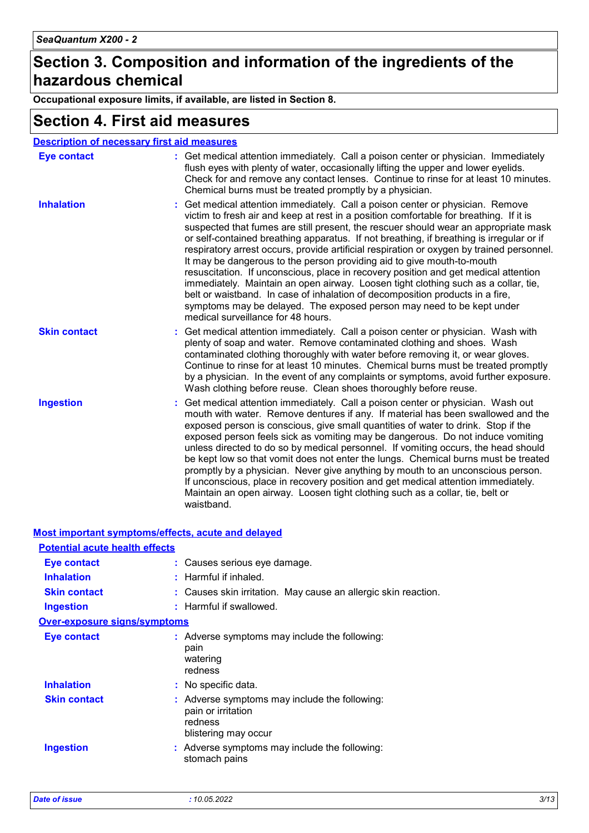### **Section 3. Composition and information of the ingredients of the hazardous chemical**

**Occupational exposure limits, if available, are listed in Section 8.**

### **Section 4. First aid measures**

| <b>Description of necessary first aid measures</b> |                                                                                                                                                                                                                                                                                                                                                                                                                                                                                                                                                                                                                                                                                                                                                                                                                                                                                                               |  |
|----------------------------------------------------|---------------------------------------------------------------------------------------------------------------------------------------------------------------------------------------------------------------------------------------------------------------------------------------------------------------------------------------------------------------------------------------------------------------------------------------------------------------------------------------------------------------------------------------------------------------------------------------------------------------------------------------------------------------------------------------------------------------------------------------------------------------------------------------------------------------------------------------------------------------------------------------------------------------|--|
| <b>Eye contact</b>                                 | : Get medical attention immediately. Call a poison center or physician. Immediately<br>flush eyes with plenty of water, occasionally lifting the upper and lower eyelids.<br>Check for and remove any contact lenses. Continue to rinse for at least 10 minutes.<br>Chemical burns must be treated promptly by a physician.                                                                                                                                                                                                                                                                                                                                                                                                                                                                                                                                                                                   |  |
| <b>Inhalation</b>                                  | Get medical attention immediately. Call a poison center or physician. Remove<br>victim to fresh air and keep at rest in a position comfortable for breathing. If it is<br>suspected that fumes are still present, the rescuer should wear an appropriate mask<br>or self-contained breathing apparatus. If not breathing, if breathing is irregular or if<br>respiratory arrest occurs, provide artificial respiration or oxygen by trained personnel.<br>It may be dangerous to the person providing aid to give mouth-to-mouth<br>resuscitation. If unconscious, place in recovery position and get medical attention<br>immediately. Maintain an open airway. Loosen tight clothing such as a collar, tie,<br>belt or waistband. In case of inhalation of decomposition products in a fire,<br>symptoms may be delayed. The exposed person may need to be kept under<br>medical surveillance for 48 hours. |  |
| <b>Skin contact</b>                                | Get medical attention immediately. Call a poison center or physician. Wash with<br>plenty of soap and water. Remove contaminated clothing and shoes. Wash<br>contaminated clothing thoroughly with water before removing it, or wear gloves.<br>Continue to rinse for at least 10 minutes. Chemical burns must be treated promptly<br>by a physician. In the event of any complaints or symptoms, avoid further exposure.<br>Wash clothing before reuse. Clean shoes thoroughly before reuse.                                                                                                                                                                                                                                                                                                                                                                                                                 |  |
| <b>Ingestion</b>                                   | Get medical attention immediately. Call a poison center or physician. Wash out<br>mouth with water. Remove dentures if any. If material has been swallowed and the<br>exposed person is conscious, give small quantities of water to drink. Stop if the<br>exposed person feels sick as vomiting may be dangerous. Do not induce vomiting<br>unless directed to do so by medical personnel. If vomiting occurs, the head should<br>be kept low so that vomit does not enter the lungs. Chemical burns must be treated<br>promptly by a physician. Never give anything by mouth to an unconscious person.<br>If unconscious, place in recovery position and get medical attention immediately.<br>Maintain an open airway. Loosen tight clothing such as a collar, tie, belt or<br>waistband.                                                                                                                  |  |

#### **Most important symptoms/effects, acute and delayed**

| <b>Potential acute health effects</b> |                                                                                                          |  |
|---------------------------------------|----------------------------------------------------------------------------------------------------------|--|
| <b>Eye contact</b>                    | : Causes serious eye damage.                                                                             |  |
| <b>Inhalation</b>                     | $:$ Harmful if inhaled.                                                                                  |  |
| <b>Skin contact</b>                   | : Causes skin irritation. May cause an allergic skin reaction.                                           |  |
| Ingestion                             | : Harmful if swallowed.                                                                                  |  |
| <b>Over-exposure signs/symptoms</b>   |                                                                                                          |  |
| <b>Eye contact</b>                    | : Adverse symptoms may include the following:<br>pain<br>watering<br>redness                             |  |
| <b>Inhalation</b>                     | : No specific data.                                                                                      |  |
| <b>Skin contact</b>                   | $:$ Adverse symptoms may include the following:<br>pain or irritation<br>redness<br>blistering may occur |  |
| <b>Ingestion</b>                      | : Adverse symptoms may include the following:<br>stomach pains                                           |  |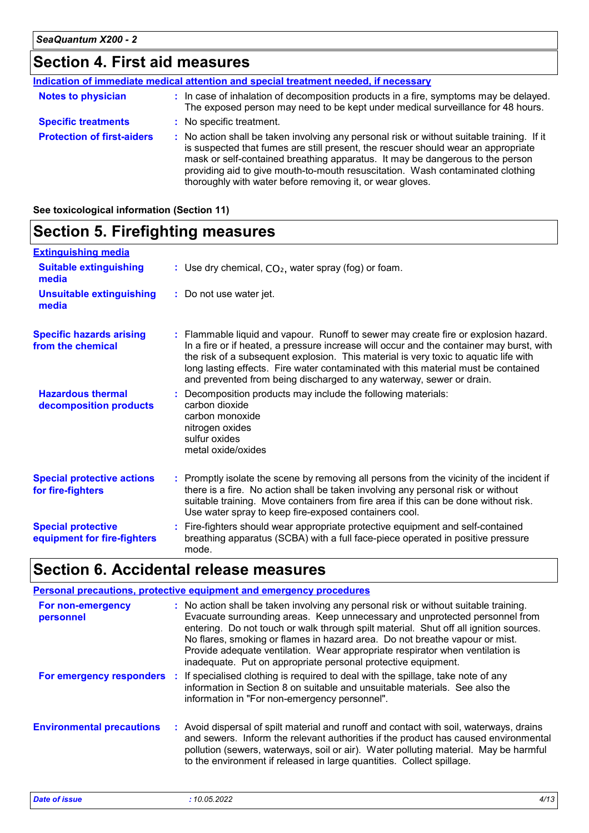# **Section 4. First aid measures**

| Indication of immediate medical attention and special treatment needed, if necessary |                                                                                                                                                                                                                                                                                                                                                                                                                 |  |
|--------------------------------------------------------------------------------------|-----------------------------------------------------------------------------------------------------------------------------------------------------------------------------------------------------------------------------------------------------------------------------------------------------------------------------------------------------------------------------------------------------------------|--|
| <b>Notes to physician</b>                                                            | : In case of inhalation of decomposition products in a fire, symptoms may be delayed.<br>The exposed person may need to be kept under medical surveillance for 48 hours.                                                                                                                                                                                                                                        |  |
| <b>Specific treatments</b>                                                           | : No specific treatment.                                                                                                                                                                                                                                                                                                                                                                                        |  |
| <b>Protection of first-aiders</b>                                                    | : No action shall be taken involving any personal risk or without suitable training. If it<br>is suspected that fumes are still present, the rescuer should wear an appropriate<br>mask or self-contained breathing apparatus. It may be dangerous to the person<br>providing aid to give mouth-to-mouth resuscitation. Wash contaminated clothing<br>thoroughly with water before removing it, or wear gloves. |  |

| See toxicological information (Section 11) |  |
|--------------------------------------------|--|
|--------------------------------------------|--|

#### **Section 5. Firefighting measures Extinguishing media Suitable extinguishing :**

| <b>Suitable extinguishing</b><br>media                   | : Use dry chemical, $CO2$ , water spray (fog) or foam.                                                                                                                                                                                                                                                                                                                                                                                |
|----------------------------------------------------------|---------------------------------------------------------------------------------------------------------------------------------------------------------------------------------------------------------------------------------------------------------------------------------------------------------------------------------------------------------------------------------------------------------------------------------------|
| <b>Unsuitable extinguishing</b><br>media                 | : Do not use water jet.                                                                                                                                                                                                                                                                                                                                                                                                               |
| <b>Specific hazards arising</b><br>from the chemical     | : Flammable liquid and vapour. Runoff to sewer may create fire or explosion hazard.<br>In a fire or if heated, a pressure increase will occur and the container may burst, with<br>the risk of a subsequent explosion. This material is very toxic to aquatic life with<br>long lasting effects. Fire water contaminated with this material must be contained<br>and prevented from being discharged to any waterway, sewer or drain. |
| <b>Hazardous thermal</b><br>decomposition products       | : Decomposition products may include the following materials:<br>carbon dioxide<br>carbon monoxide<br>nitrogen oxides<br>sulfur oxides<br>metal oxide/oxides                                                                                                                                                                                                                                                                          |
| <b>Special protective actions</b><br>for fire-fighters   | : Promptly isolate the scene by removing all persons from the vicinity of the incident if<br>there is a fire. No action shall be taken involving any personal risk or without<br>suitable training. Move containers from fire area if this can be done without risk.<br>Use water spray to keep fire-exposed containers cool.                                                                                                         |
| <b>Special protective</b><br>equipment for fire-fighters | : Fire-fighters should wear appropriate protective equipment and self-contained<br>breathing apparatus (SCBA) with a full face-piece operated in positive pressure<br>mode.                                                                                                                                                                                                                                                           |

# **Section 6. Accidental release measures**

|                                  | Personal precautions, protective equipment and emergency procedures                                                                                                                                                                                                                                                                                                                                                                                                                           |
|----------------------------------|-----------------------------------------------------------------------------------------------------------------------------------------------------------------------------------------------------------------------------------------------------------------------------------------------------------------------------------------------------------------------------------------------------------------------------------------------------------------------------------------------|
| For non-emergency<br>personnel   | : No action shall be taken involving any personal risk or without suitable training.<br>Evacuate surrounding areas. Keep unnecessary and unprotected personnel from<br>entering. Do not touch or walk through spilt material. Shut off all ignition sources.<br>No flares, smoking or flames in hazard area. Do not breathe vapour or mist.<br>Provide adequate ventilation. Wear appropriate respirator when ventilation is<br>inadequate. Put on appropriate personal protective equipment. |
| For emergency responders         | : If specialised clothing is required to deal with the spillage, take note of any<br>information in Section 8 on suitable and unsuitable materials. See also the<br>information in "For non-emergency personnel".                                                                                                                                                                                                                                                                             |
| <b>Environmental precautions</b> | : Avoid dispersal of spilt material and runoff and contact with soil, waterways, drains<br>and sewers. Inform the relevant authorities if the product has caused environmental<br>pollution (sewers, waterways, soil or air). Water polluting material. May be harmful<br>to the environment if released in large quantities. Collect spillage.                                                                                                                                               |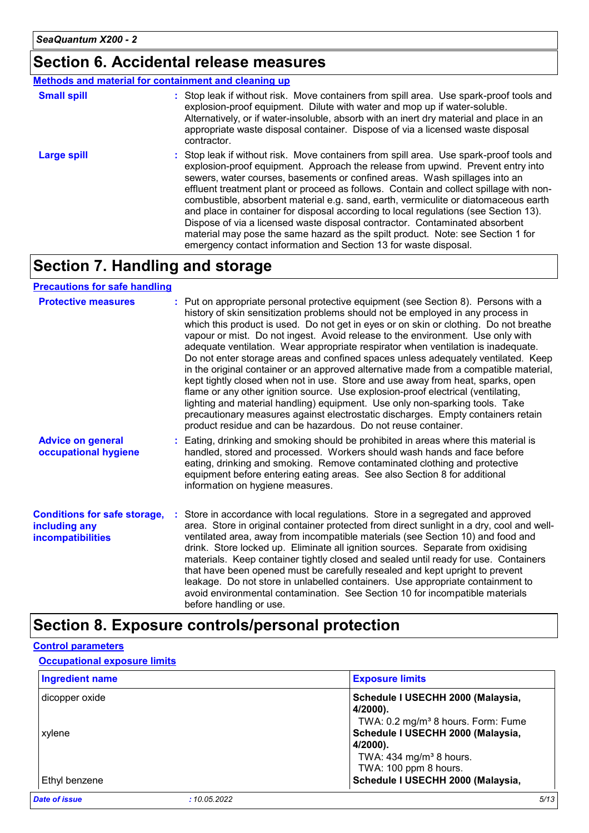### **Section 6. Accidental release measures**

#### **Methods and material for containment and cleaning up**

| <b>Small spill</b> | : Stop leak if without risk. Move containers from spill area. Use spark-proof tools and<br>explosion-proof equipment. Dilute with water and mop up if water-soluble.<br>Alternatively, or if water-insoluble, absorb with an inert dry material and place in an<br>appropriate waste disposal container. Dispose of via a licensed waste disposal<br>contractor.                                                                                                                                                                                                                                                                                                                                                                                                        |
|--------------------|-------------------------------------------------------------------------------------------------------------------------------------------------------------------------------------------------------------------------------------------------------------------------------------------------------------------------------------------------------------------------------------------------------------------------------------------------------------------------------------------------------------------------------------------------------------------------------------------------------------------------------------------------------------------------------------------------------------------------------------------------------------------------|
| <b>Large spill</b> | : Stop leak if without risk. Move containers from spill area. Use spark-proof tools and<br>explosion-proof equipment. Approach the release from upwind. Prevent entry into<br>sewers, water courses, basements or confined areas. Wash spillages into an<br>effluent treatment plant or proceed as follows. Contain and collect spillage with non-<br>combustible, absorbent material e.g. sand, earth, vermiculite or diatomaceous earth<br>and place in container for disposal according to local regulations (see Section 13).<br>Dispose of via a licensed waste disposal contractor. Contaminated absorbent<br>material may pose the same hazard as the spilt product. Note: see Section 1 for<br>emergency contact information and Section 13 for waste disposal. |

### **Section 7. Handling and storage**

#### **Precautions for safe handling**

| <b>Protective measures</b>                                                       | : Put on appropriate personal protective equipment (see Section 8). Persons with a<br>history of skin sensitization problems should not be employed in any process in<br>which this product is used. Do not get in eyes or on skin or clothing. Do not breathe<br>vapour or mist. Do not ingest. Avoid release to the environment. Use only with<br>adequate ventilation. Wear appropriate respirator when ventilation is inadequate.<br>Do not enter storage areas and confined spaces unless adequately ventilated. Keep<br>in the original container or an approved alternative made from a compatible material,<br>kept tightly closed when not in use. Store and use away from heat, sparks, open<br>flame or any other ignition source. Use explosion-proof electrical (ventilating,<br>lighting and material handling) equipment. Use only non-sparking tools. Take<br>precautionary measures against electrostatic discharges. Empty containers retain<br>product residue and can be hazardous. Do not reuse container. |
|----------------------------------------------------------------------------------|---------------------------------------------------------------------------------------------------------------------------------------------------------------------------------------------------------------------------------------------------------------------------------------------------------------------------------------------------------------------------------------------------------------------------------------------------------------------------------------------------------------------------------------------------------------------------------------------------------------------------------------------------------------------------------------------------------------------------------------------------------------------------------------------------------------------------------------------------------------------------------------------------------------------------------------------------------------------------------------------------------------------------------|
| <b>Advice on general</b><br>occupational hygiene                                 | : Eating, drinking and smoking should be prohibited in areas where this material is<br>handled, stored and processed. Workers should wash hands and face before<br>eating, drinking and smoking. Remove contaminated clothing and protective<br>equipment before entering eating areas. See also Section 8 for additional<br>information on hygiene measures.                                                                                                                                                                                                                                                                                                                                                                                                                                                                                                                                                                                                                                                                   |
| <b>Conditions for safe storage,</b><br>including any<br><b>incompatibilities</b> | Store in accordance with local regulations. Store in a segregated and approved<br>area. Store in original container protected from direct sunlight in a dry, cool and well-<br>ventilated area, away from incompatible materials (see Section 10) and food and<br>drink. Store locked up. Eliminate all ignition sources. Separate from oxidising<br>materials. Keep container tightly closed and sealed until ready for use. Containers<br>that have been opened must be carefully resealed and kept upright to prevent<br>leakage. Do not store in unlabelled containers. Use appropriate containment to<br>avoid environmental contamination. See Section 10 for incompatible materials<br>before handling or use.                                                                                                                                                                                                                                                                                                           |

### **Section 8. Exposure controls/personal protection**

#### **Control parameters**

#### **Occupational exposure limits**

| <b>Ingredient name</b>       | <b>Exposure limits</b>                         |
|------------------------------|------------------------------------------------|
| dicopper oxide               | Schedule I USECHH 2000 (Malaysia,<br>4/2000).  |
|                              | TWA: 0.2 mg/m <sup>3</sup> 8 hours. Form: Fume |
| xylene                       | Schedule I USECHH 2000 (Malaysia,              |
|                              | 4/2000).                                       |
|                              | TWA: $434$ mg/m <sup>3</sup> 8 hours.          |
|                              | TWA: 100 ppm 8 hours.                          |
| Ethyl benzene                | Schedule I USECHH 2000 (Malaysia,              |
| Date of issue<br>:10.05.2022 | 5/13                                           |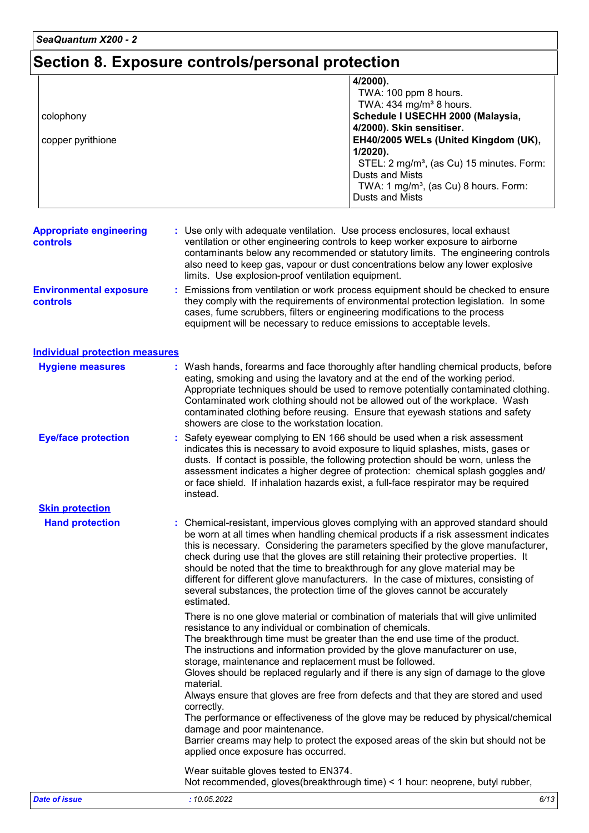# **Section 8. Exposure controls/personal protection**

|                   | 4/2000).                                              |
|-------------------|-------------------------------------------------------|
|                   | TWA: 100 ppm 8 hours.                                 |
|                   | TWA: $434$ mg/m <sup>3</sup> 8 hours.                 |
| colophony         | Schedule I USECHH 2000 (Malaysia,                     |
|                   | 4/2000). Skin sensitiser.                             |
| copper pyrithione | EH40/2005 WELs (United Kingdom (UK),                  |
|                   | $1/2020$ ).                                           |
|                   | STEL: 2 mg/m <sup>3</sup> , (as Cu) 15 minutes. Form: |
|                   | Dusts and Mists                                       |
|                   | TWA: 1 mg/m <sup>3</sup> , (as Cu) 8 hours. Form:     |
|                   | Dusts and Mists                                       |

| <b>Appropriate engineering</b><br>controls       | : Use only with adequate ventilation. Use process enclosures, local exhaust<br>ventilation or other engineering controls to keep worker exposure to airborne<br>contaminants below any recommended or statutory limits. The engineering controls<br>also need to keep gas, vapour or dust concentrations below any lower explosive<br>limits. Use explosion-proof ventilation equipment. |
|--------------------------------------------------|------------------------------------------------------------------------------------------------------------------------------------------------------------------------------------------------------------------------------------------------------------------------------------------------------------------------------------------------------------------------------------------|
| <b>Environmental exposure</b><br><b>controls</b> | : Emissions from ventilation or work process equipment should be checked to ensure<br>they comply with the requirements of environmental protection legislation. In some<br>cases, fume scrubbers, filters or engineering modifications to the process<br>equipment will be necessary to reduce emissions to acceptable levels.                                                          |

#### **Individual protection measures**

| <b>Hygiene measures</b>    | : Wash hands, forearms and face thoroughly after handling chemical products, before<br>eating, smoking and using the lavatory and at the end of the working period.<br>Appropriate techniques should be used to remove potentially contaminated clothing.<br>Contaminated work clothing should not be allowed out of the workplace. Wash<br>contaminated clothing before reusing. Ensure that eyewash stations and safety<br>showers are close to the workstation location.                                                                                                                                               |
|----------------------------|---------------------------------------------------------------------------------------------------------------------------------------------------------------------------------------------------------------------------------------------------------------------------------------------------------------------------------------------------------------------------------------------------------------------------------------------------------------------------------------------------------------------------------------------------------------------------------------------------------------------------|
| <b>Eye/face protection</b> | Safety eyewear complying to EN 166 should be used when a risk assessment<br>indicates this is necessary to avoid exposure to liquid splashes, mists, gases or<br>dusts. If contact is possible, the following protection should be worn, unless the<br>assessment indicates a higher degree of protection: chemical splash goggles and/<br>or face shield. If inhalation hazards exist, a full-face respirator may be required<br>instead.                                                                                                                                                                                |
| <b>Skin protection</b>     |                                                                                                                                                                                                                                                                                                                                                                                                                                                                                                                                                                                                                           |
| <b>Hand protection</b>     | : Chemical-resistant, impervious gloves complying with an approved standard should<br>be worn at all times when handling chemical products if a risk assessment indicates<br>this is necessary. Considering the parameters specified by the glove manufacturer,<br>check during use that the gloves are still retaining their protective properties. It<br>should be noted that the time to breakthrough for any glove material may be<br>different for different glove manufacturers. In the case of mixtures, consisting of<br>several substances, the protection time of the gloves cannot be accurately<br>estimated. |
|                            | There is no one glove material or combination of materials that will give unlimited<br>resistance to any individual or combination of chemicals.                                                                                                                                                                                                                                                                                                                                                                                                                                                                          |
|                            | The breakthrough time must be greater than the end use time of the product.<br>The instructions and information provided by the glove manufacturer on use,<br>storage, maintenance and replacement must be followed.                                                                                                                                                                                                                                                                                                                                                                                                      |
|                            | Gloves should be replaced regularly and if there is any sign of damage to the glove<br>material.                                                                                                                                                                                                                                                                                                                                                                                                                                                                                                                          |
|                            | Always ensure that gloves are free from defects and that they are stored and used<br>correctly.                                                                                                                                                                                                                                                                                                                                                                                                                                                                                                                           |
|                            | The performance or effectiveness of the glove may be reduced by physical/chemical<br>damage and poor maintenance.                                                                                                                                                                                                                                                                                                                                                                                                                                                                                                         |
|                            | Barrier creams may help to protect the exposed areas of the skin but should not be<br>applied once exposure has occurred.                                                                                                                                                                                                                                                                                                                                                                                                                                                                                                 |
|                            | Wear suitable gloves tested to EN374.<br>Not recommended, gloves (breakthrough time) < 1 hour: neoprene, butyl rubber,                                                                                                                                                                                                                                                                                                                                                                                                                                                                                                    |
| <b>Date of issue</b>       | : 10.05.2022<br>6/13                                                                                                                                                                                                                                                                                                                                                                                                                                                                                                                                                                                                      |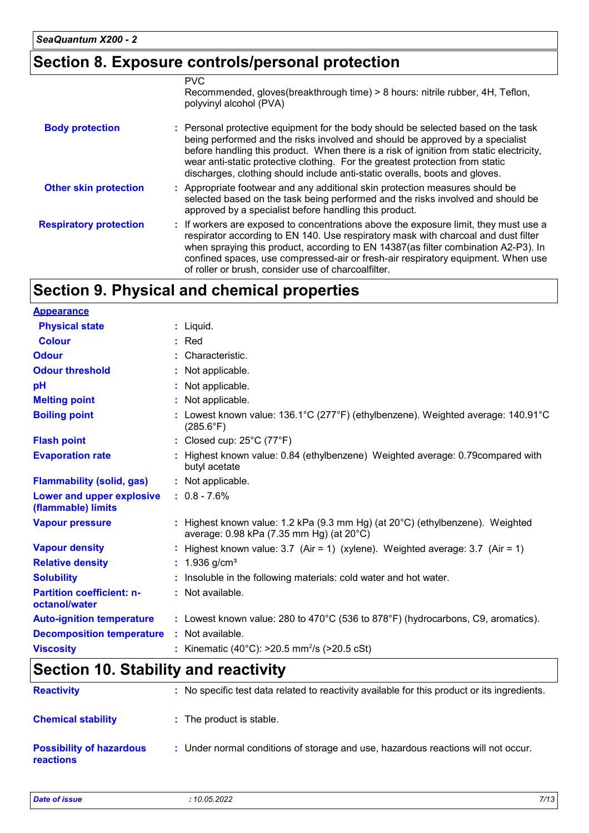### **Section 8. Exposure controls/personal protection**

|                               | <b>PVC</b><br>Recommended, gloves(breakthrough time) > 8 hours: nitrile rubber, 4H, Teflon,<br>polyvinyl alcohol (PVA)                                                                                                                                                                                                                                                                                                        |
|-------------------------------|-------------------------------------------------------------------------------------------------------------------------------------------------------------------------------------------------------------------------------------------------------------------------------------------------------------------------------------------------------------------------------------------------------------------------------|
| <b>Body protection</b>        | : Personal protective equipment for the body should be selected based on the task<br>being performed and the risks involved and should be approved by a specialist<br>before handling this product. When there is a risk of ignition from static electricity,<br>wear anti-static protective clothing. For the greatest protection from static<br>discharges, clothing should include anti-static overalls, boots and gloves. |
| <b>Other skin protection</b>  | : Appropriate footwear and any additional skin protection measures should be<br>selected based on the task being performed and the risks involved and should be<br>approved by a specialist before handling this product.                                                                                                                                                                                                     |
| <b>Respiratory protection</b> | : If workers are exposed to concentrations above the exposure limit, they must use a<br>respirator according to EN 140. Use respiratory mask with charcoal and dust filter<br>when spraying this product, according to EN 14387(as filter combination A2-P3). In<br>confined spaces, use compressed-air or fresh-air respiratory equipment. When use<br>of roller or brush, consider use of charcoalfilter.                   |

# **Section 9. Physical and chemical properties**

| <b>Appearance</b>                                 |                                                                                                                                       |
|---------------------------------------------------|---------------------------------------------------------------------------------------------------------------------------------------|
| <b>Physical state</b>                             | $:$ Liquid.                                                                                                                           |
| <b>Colour</b>                                     | $:$ Red                                                                                                                               |
| <b>Odour</b>                                      | : Characteristic.                                                                                                                     |
| <b>Odour threshold</b>                            | : Not applicable.                                                                                                                     |
| pH                                                | : Not applicable.                                                                                                                     |
| <b>Melting point</b>                              | : Not applicable.                                                                                                                     |
| <b>Boiling point</b>                              | : Lowest known value: $136.1^{\circ}$ C (277 $^{\circ}$ F) (ethylbenzene). Weighted average: $140.91^{\circ}$ C<br>$(285.6^{\circ}F)$ |
| <b>Flash point</b>                                | : Closed cup: 25°C (77°F)                                                                                                             |
| <b>Evaporation rate</b>                           | : Highest known value: 0.84 (ethylbenzene) Weighted average: 0.79 compared with<br>butyl acetate                                      |
| <b>Flammability (solid, gas)</b>                  | : Not applicable.                                                                                                                     |
| Lower and upper explosive<br>(flammable) limits   | $: 0.8 - 7.6\%$                                                                                                                       |
| <b>Vapour pressure</b>                            | : Highest known value: 1.2 kPa (9.3 mm Hg) (at $20^{\circ}$ C) (ethylbenzene). Weighted<br>average: 0.98 kPa (7.35 mm Hg) (at 20°C)   |
| <b>Vapour density</b>                             | : Highest known value: $3.7$ (Air = 1) (xylene). Weighted average: $3.7$ (Air = 1)                                                    |
| <b>Relative density</b>                           | : $1.936$ g/cm <sup>3</sup>                                                                                                           |
| <b>Solubility</b>                                 | : Insoluble in the following materials: cold water and hot water.                                                                     |
| <b>Partition coefficient: n-</b><br>octanol/water | : Not available.                                                                                                                      |
| <b>Auto-ignition temperature</b>                  | : Lowest known value: 280 to $470^{\circ}$ C (536 to 878 $^{\circ}$ F) (hydrocarbons, C9, aromatics).                                 |
| <b>Decomposition temperature</b>                  | : Not available.                                                                                                                      |
| <b>Viscosity</b>                                  | : Kinematic (40°C): $>20.5$ mm <sup>2</sup> /s ( $>20.5$ cSt)                                                                         |

# **Section 10. Stability and reactivity**

| <b>Reactivity</b>                                   | : No specific test data related to reactivity available for this product or its ingredients. |
|-----------------------------------------------------|----------------------------------------------------------------------------------------------|
| <b>Chemical stability</b>                           | : The product is stable.                                                                     |
| <b>Possibility of hazardous</b><br><b>reactions</b> | : Under normal conditions of storage and use, hazardous reactions will not occur.            |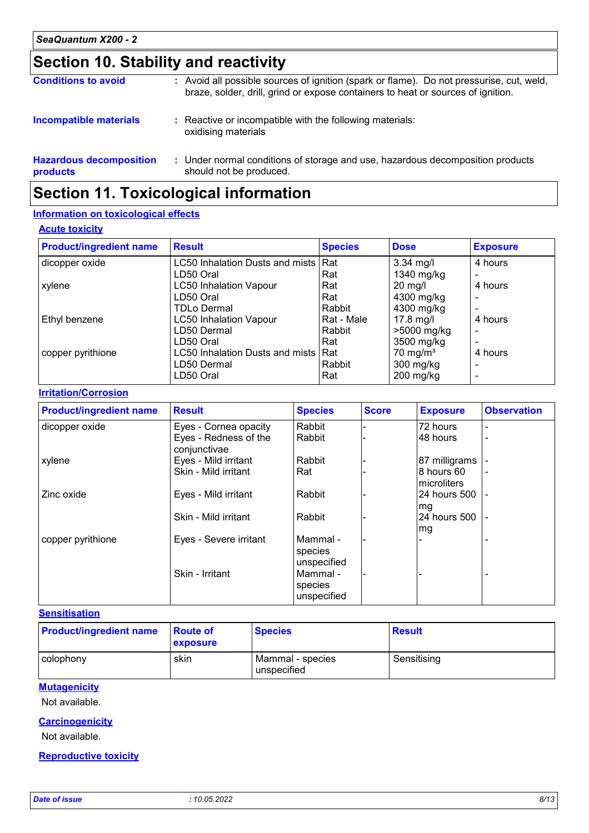# **Section 10. Stability and reactivity**

| <b>Conditions to avoid</b>                 | : Avoid all possible sources of ignition (spark or flame). Do not pressurise, cut, weld,<br>braze, solder, drill, grind or expose containers to heat or sources of ignition. |
|--------------------------------------------|------------------------------------------------------------------------------------------------------------------------------------------------------------------------------|
| <b>Incompatible materials</b>              | : Reactive or incompatible with the following materials:<br>oxidising materials                                                                                              |
| <b>Hazardous decomposition</b><br>products | : Under normal conditions of storage and use, hazardous decomposition products<br>should not be produced.                                                                    |

# **Section 11. Toxicological information**

#### **Information on toxicological effects**

#### **Acute toxicity**

| <b>Product/ingredient name</b> | <b>Result</b>                       | <b>Species</b> | <b>Dose</b>         | <b>Exposure</b> |
|--------------------------------|-------------------------------------|----------------|---------------------|-----------------|
| dicopper oxide                 | LC50 Inhalation Dusts and mists Rat |                | 3.34 mg/l           | 4 hours         |
|                                | LD50 Oral                           | Rat            | 1340 mg/kg          |                 |
| xylene                         | <b>LC50 Inhalation Vapour</b>       | Rat            | $20$ mg/l           | 4 hours         |
|                                | LD50 Oral                           | Rat            | 4300 mg/kg          |                 |
|                                | <b>TDLo Dermal</b>                  | Rabbit         | 4300 mg/kg          |                 |
| Ethyl benzene                  | <b>LC50 Inhalation Vapour</b>       | Rat - Male     | $17.8$ mg/l         | 4 hours         |
|                                | LD50 Dermal                         | Rabbit         | >5000 mg/kg         |                 |
|                                | LD50 Oral                           | Rat            | 3500 mg/kg          |                 |
| copper pyrithione              | LC50 Inhalation Dusts and mists Rat |                | $70 \text{ mg/m}^3$ | 4 hours         |
|                                | LD50 Dermal                         | Rabbit         | $300$ mg/kg         |                 |
|                                | LD50 Oral                           | Rat            | $200$ mg/kg         |                 |

#### **Irritation/Corrosion**

| <b>Product/ingredient name</b> | <b>Result</b>                         | <b>Species</b>                     | <b>Score</b> | <b>Exposure</b>            | <b>Observation</b> |
|--------------------------------|---------------------------------------|------------------------------------|--------------|----------------------------|--------------------|
| dicopper oxide                 | Eyes - Cornea opacity                 | Rabbit                             |              | 72 hours                   | -                  |
|                                | Eyes - Redness of the<br>conjunctivae | Rabbit                             |              | 48 hours                   | -                  |
| xylene                         | Eyes - Mild irritant                  | Rabbit                             |              | 87 milligrams              |                    |
|                                | Skin - Mild irritant                  | Rat                                |              | l8 hours 60<br>microliters |                    |
| Zinc oxide                     | Eyes - Mild irritant                  | Rabbit                             |              | 24 hours 500<br>mg         |                    |
|                                | Skin - Mild irritant                  | Rabbit                             |              | 24 hours 500<br>mg         |                    |
| copper pyrithione              | Eyes - Severe irritant                | Mammal -<br>species<br>unspecified |              |                            |                    |
|                                | Skin - Irritant                       | Mammal -<br>species<br>unspecified |              |                            |                    |

#### **Sensitisation**

| <b>Product/ingredient name</b> | <b>Route of</b><br>exposure | <b>Species</b>                  | <b>Result</b> |
|--------------------------------|-----------------------------|---------------------------------|---------------|
| colophony                      | skin                        | Mammal - species<br>unspecified | Sensitising   |

#### **Mutagenicity**

Not available.

#### **Carcinogenicity**

Not available.

#### **Reproductive toxicity**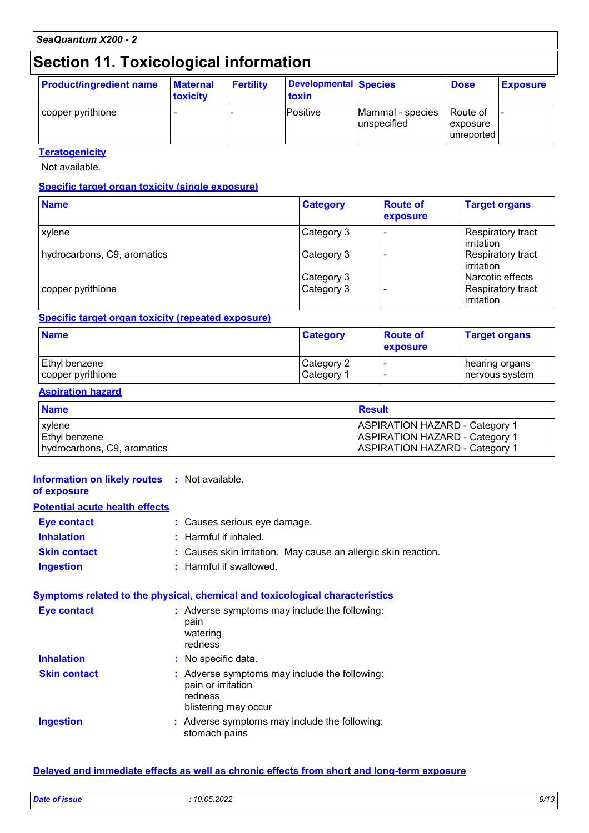# **Section 11. Toxicological information**

| <b>Product/ingredient name</b> | <b>Maternal</b><br>toxicity | <b>Fertility</b> | Developmental Species<br>toxin |                                 | <b>Dose</b>                           | <b>Exposure</b> |
|--------------------------------|-----------------------------|------------------|--------------------------------|---------------------------------|---------------------------------------|-----------------|
| copper pyrithione              |                             |                  | Positive                       | Mammal - species<br>unspecified | lRoute of<br> exposure <br>unreported | -               |

#### **Teratogenicity**

Not available.

#### **Specific target organ toxicity (single exposure)**

| <b>Name</b>                 | <b>Category</b> | <b>Route of</b><br>exposure | <b>Target organs</b>             |
|-----------------------------|-----------------|-----------------------------|----------------------------------|
| <b>xylene</b>               | Category 3      |                             | Respiratory tract<br>irritation  |
| hydrocarbons, C9, aromatics | Category 3      |                             | Respiratory tract<br>lirritation |
|                             | Category 3      |                             | l Narcotic effects               |
| copper pyrithione           | Category 3      |                             | Respiratory tract<br>irritation  |

#### **Specific target organ toxicity (repeated exposure)**

| <b>Name</b>          | <b>Category</b> | <b>Route of</b><br>exposure | <b>Target organs</b> |
|----------------------|-----------------|-----------------------------|----------------------|
| <b>Ethyl benzene</b> | Category 2      |                             | hearing organs       |
| copper pyrithione    | Category 1      |                             | nervous system       |

#### **Aspiration hazard**

| <b>Name</b>                 | Result                                |
|-----------------------------|---------------------------------------|
| xylene                      | <b>ASPIRATION HAZARD - Category 1</b> |
| <b>Ethyl benzene</b>        | <b>ASPIRATION HAZARD - Category 1</b> |
| hydrocarbons, C9, aromatics | <b>ASPIRATION HAZARD - Category 1</b> |

#### **Information on likely routes :** Not available.

#### **of exposure**

### **Potential acute health effects**

| <b>Eye contact</b>  | : Causes serious eye damage.                                   |
|---------------------|----------------------------------------------------------------|
| <b>Inhalation</b>   | : Harmful if inhaled.                                          |
| <b>Skin contact</b> | : Causes skin irritation. May cause an allergic skin reaction. |
| <b>Ingestion</b>    | : Harmful if swallowed.                                        |

#### **Symptoms related to the physical, chemical and toxicological characteristics**

| <b>Eye contact</b>  | : Adverse symptoms may include the following:<br>pain<br>watering<br>redness                           |
|---------------------|--------------------------------------------------------------------------------------------------------|
| <b>Inhalation</b>   | : No specific data.                                                                                    |
| <b>Skin contact</b> | : Adverse symptoms may include the following:<br>pain or irritation<br>redness<br>blistering may occur |
| <b>Ingestion</b>    | : Adverse symptoms may include the following:<br>stomach pains                                         |

#### **Delayed and immediate effects as well as chronic effects from short and long-term exposure**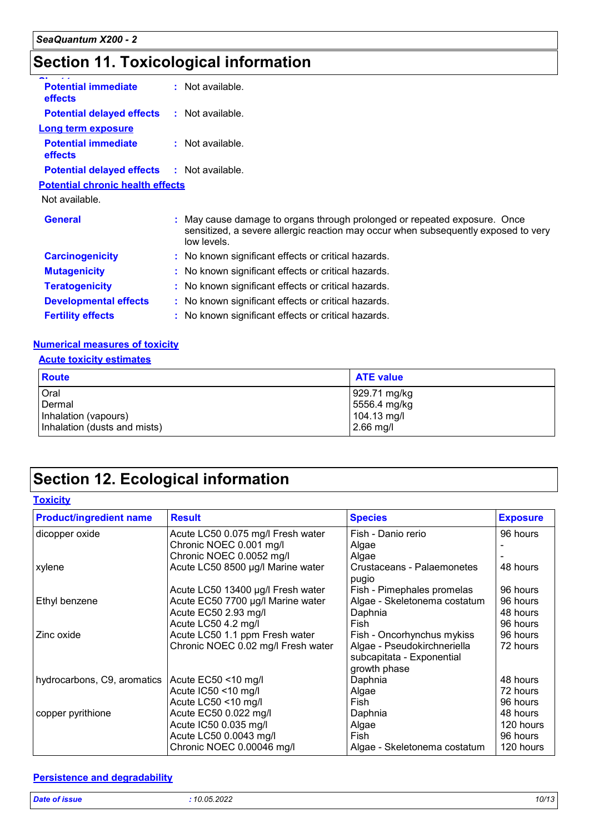# **Section 11. Toxicological information**

| <b>Potential immediate</b><br>effects        | : Not available.                                                                                                                                                               |  |
|----------------------------------------------|--------------------------------------------------------------------------------------------------------------------------------------------------------------------------------|--|
| <b>Potential delayed effects</b>             | : Not available.                                                                                                                                                               |  |
| <b>Long term exposure</b>                    |                                                                                                                                                                                |  |
| <b>Potential immediate</b><br><b>effects</b> | : Not available.                                                                                                                                                               |  |
| <b>Potential delayed effects</b>             | : Not available.                                                                                                                                                               |  |
| <b>Potential chronic health effects</b>      |                                                                                                                                                                                |  |
| Not available.                               |                                                                                                                                                                                |  |
| <b>General</b>                               | : May cause damage to organs through prolonged or repeated exposure. Once<br>sensitized, a severe allergic reaction may occur when subsequently exposed to very<br>low levels. |  |
| <b>Carcinogenicity</b>                       | : No known significant effects or critical hazards.                                                                                                                            |  |
| <b>Mutagenicity</b>                          | : No known significant effects or critical hazards.                                                                                                                            |  |
| <b>Teratogenicity</b>                        | : No known significant effects or critical hazards.                                                                                                                            |  |
| <b>Developmental effects</b>                 | : No known significant effects or critical hazards.                                                                                                                            |  |
| <b>Fertility effects</b>                     | : No known significant effects or critical hazards.                                                                                                                            |  |
|                                              |                                                                                                                                                                                |  |

#### **Numerical measures of toxicity**

#### **Acute toxicity estimates**

| <b>Route</b>                 | <b>ATE value</b> |
|------------------------------|------------------|
| Oral                         | 929.71 mg/kg     |
| Dermal                       | 5556.4 mg/kg     |
| Inhalation (vapours)         | $104.13$ mg/l    |
| Inhalation (dusts and mists) | $2.66$ mg/l      |

# **Section 12. Ecological information**

#### **Toxicity**

| <b>Product/ingredient name</b> | <b>Result</b>                      | <b>Species</b>                      | <b>Exposure</b> |
|--------------------------------|------------------------------------|-------------------------------------|-----------------|
| dicopper oxide                 | Acute LC50 0.075 mg/l Fresh water  | Fish - Danio rerio                  | 96 hours        |
|                                | Chronic NOEC 0.001 mg/l            | Algae                               |                 |
|                                | Chronic NOEC 0.0052 mg/l           | Algae                               |                 |
| xylene                         | Acute LC50 8500 µg/l Marine water  | Crustaceans - Palaemonetes<br>pugio | 48 hours        |
|                                | Acute LC50 13400 µg/l Fresh water  | Fish - Pimephales promelas          | 96 hours        |
| Ethyl benzene                  | Acute EC50 7700 µg/l Marine water  | Algae - Skeletonema costatum        | 96 hours        |
|                                | Acute EC50 2.93 mg/l               | Daphnia                             | 48 hours        |
|                                | Acute LC50 4.2 mg/l                | Fish                                | 96 hours        |
| Zinc oxide                     | Acute LC50 1.1 ppm Fresh water     | Fish - Oncorhynchus mykiss          | 96 hours        |
|                                | Chronic NOEC 0.02 mg/l Fresh water | Algae - Pseudokirchneriella         | 72 hours        |
|                                |                                    | subcapitata - Exponential           |                 |
|                                |                                    | growth phase                        |                 |
| hydrocarbons, C9, aromatics    | Acute EC50 <10 mg/l                | Daphnia                             | 48 hours        |
|                                | Acute IC50 <10 mg/l                | Algae                               | 72 hours        |
|                                | Acute LC50 <10 mg/l                | Fish                                | 96 hours        |
| copper pyrithione              | Acute EC50 0.022 mg/l              | Daphnia                             | 48 hours        |
|                                | Acute IC50 0.035 mg/l              | Algae                               | 120 hours       |
|                                | Acute LC50 0.0043 mg/l             | Fish                                | 96 hours        |
|                                | Chronic NOEC 0.00046 mg/l          | Algae - Skeletonema costatum        | 120 hours       |

#### **Persistence and degradability**

| <b>Dat</b><br>and the second second second to the second second to the second second to the second second to the second second second to the second second second second second second second second second second second second second seco<br>$  -$<br>. | 2000<br>$204-$<br>. | .<br>יש י |
|------------------------------------------------------------------------------------------------------------------------------------------------------------------------------------------------------------------------------------------------------------|---------------------|-----------|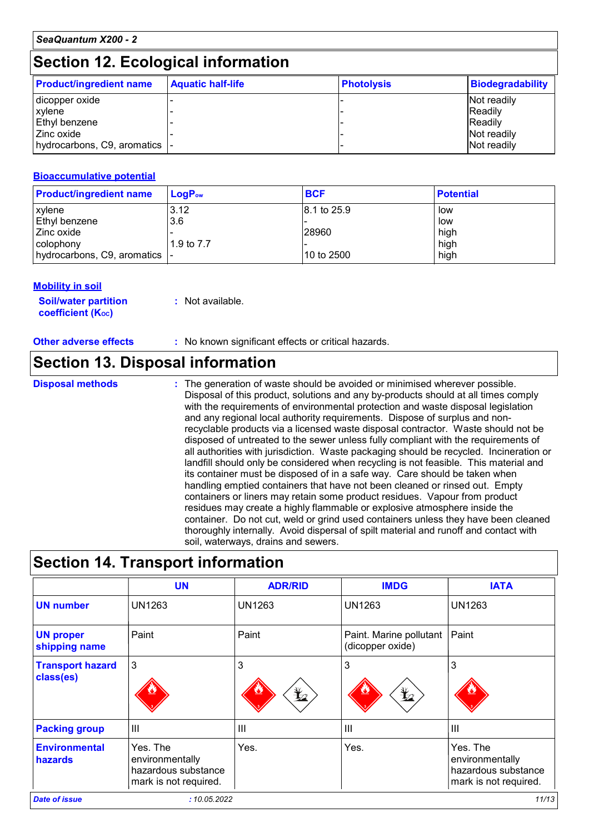### **Section 12. Ecological information**

| <b>Product/ingredient name</b> | <b>Aquatic half-life</b> | <b>Photolysis</b> | <b>Biodegradability</b> |
|--------------------------------|--------------------------|-------------------|-------------------------|
| dicopper oxide                 |                          |                   | Not readily             |
| <b>xylene</b>                  |                          |                   | <b>Readily</b>          |
| <b>Ethyl benzene</b>           |                          |                   | <b>Readily</b>          |
| l Zinc oxide                   |                          |                   | Not readily             |
| hydrocarbons, C9, aromatics  - |                          |                   | Not readily             |

#### **Bioaccumulative potential**

| <b>Product/ingredient name</b> | LoaP <sub>ow</sub> | <b>BCF</b>  | <b>Potential</b> |
|--------------------------------|--------------------|-------------|------------------|
| xylene                         | 3.12               | 8.1 to 25.9 | low              |
| Ethyl benzene                  | 3.6                |             | low              |
| l Zinc oxide                   |                    | 28960       | high             |
| colophony                      | 1.9 to 7.7         |             | high             |
| │hydrocarbons, C9, aromatics │ |                    | 10 to 2500  | high             |

#### **Mobility in soil**

| <b>Soil/water partition</b> | : Not available. |
|-----------------------------|------------------|
| <b>coefficient (Koc)</b>    |                  |

**Other adverse effects :** No known significant effects or critical hazards.

### **Section 13. Disposal information**

**Disposal methods :**

The generation of waste should be avoided or minimised wherever possible. Disposal of this product, solutions and any by-products should at all times comply with the requirements of environmental protection and waste disposal legislation and any regional local authority requirements. Dispose of surplus and nonrecyclable products via a licensed waste disposal contractor. Waste should not be disposed of untreated to the sewer unless fully compliant with the requirements of all authorities with jurisdiction. Waste packaging should be recycled. Incineration or landfill should only be considered when recycling is not feasible. This material and its container must be disposed of in a safe way. Care should be taken when handling emptied containers that have not been cleaned or rinsed out. Empty containers or liners may retain some product residues. Vapour from product residues may create a highly flammable or explosive atmosphere inside the container. Do not cut, weld or grind used containers unless they have been cleaned thoroughly internally. Avoid dispersal of spilt material and runoff and contact with soil, waterways, drains and sewers.

# **Section 14. Transport information**

|                                      | <b>UN</b>                                                                   | <b>ADR/RID</b>      | <b>IMDG</b>                                 | <b>IATA</b>                                                                 |
|--------------------------------------|-----------------------------------------------------------------------------|---------------------|---------------------------------------------|-----------------------------------------------------------------------------|
| <b>UN number</b>                     | <b>UN1263</b>                                                               | UN1263              | UN1263                                      | <b>UN1263</b>                                                               |
| <b>UN proper</b><br>shipping name    | Paint                                                                       | Paint               | Paint. Marine pollutant<br>(dicopper oxide) | Paint                                                                       |
| <b>Transport hazard</b><br>class(es) | 3                                                                           | 3<br>$\mathbf{Y}_2$ | 3<br>晢                                      | 3                                                                           |
| <b>Packing group</b>                 | $\mathbf{III}$                                                              | $\mathbf{III}$      | III                                         | $\mathbf{III}$                                                              |
| <b>Environmental</b><br>hazards      | Yes. The<br>environmentally<br>hazardous substance<br>mark is not required. | Yes.                | Yes.                                        | Yes. The<br>environmentally<br>hazardous substance<br>mark is not required. |
| <b>Date of issue</b>                 | : 10.05.2022                                                                |                     |                                             | 11/13                                                                       |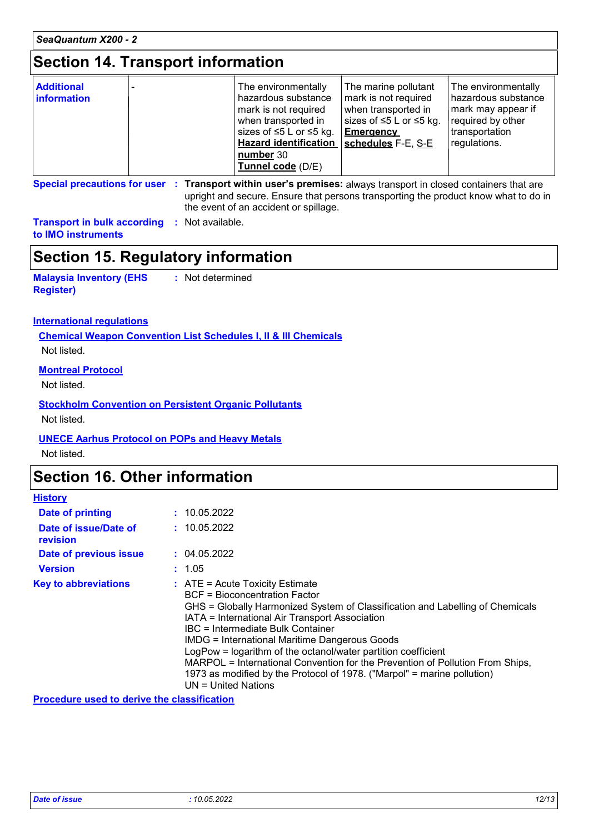### **Section 14. Transport information**

| <b>Additional</b><br><b>information</b> | The environmentally<br>hazardous substance<br>mark is not required<br>when transported in<br>sizes of $\leq 5$ L or $\leq 5$ kg.<br><b>Hazard identification</b><br>number 30<br>Tunnel code (D/E) | The marine pollutant<br>mark is not required<br>when transported in<br>sizes of $\leq$ 5 L or $\leq$ 5 kg.<br><b>Emergency</b><br>schedules F-E, S-E | The environmentally<br>l hazardous substance<br>mark may appear if<br>required by other<br>transportation<br>regulations. |
|-----------------------------------------|----------------------------------------------------------------------------------------------------------------------------------------------------------------------------------------------------|------------------------------------------------------------------------------------------------------------------------------------------------------|---------------------------------------------------------------------------------------------------------------------------|
|-----------------------------------------|----------------------------------------------------------------------------------------------------------------------------------------------------------------------------------------------------|------------------------------------------------------------------------------------------------------------------------------------------------------|---------------------------------------------------------------------------------------------------------------------------|

**Special precautions for user Transport within user's premises:** always transport in closed containers that are **:** upright and secure. Ensure that persons transporting the product know what to do in the event of an accident or spillage.

**Transport in bulk according :** Not available. **to IMO instruments**

### **Section 15. Regulatory information**

**Malaysia Inventory (EHS Register) :** Not determined

#### **International regulations**

**Chemical Weapon Convention List Schedules I, II & III Chemicals** Not listed.

#### **Montreal Protocol**

Not listed.

#### **Stockholm Convention on Persistent Organic Pollutants**

Not listed.

#### **UNECE Aarhus Protocol on POPs and Heavy Metals**

Not listed.

### **Section 16. Other information**

| <b>History</b>                    |                                                                                                                                                                                                                                                                                                                                                                                                                                                                                                                                                                        |
|-----------------------------------|------------------------------------------------------------------------------------------------------------------------------------------------------------------------------------------------------------------------------------------------------------------------------------------------------------------------------------------------------------------------------------------------------------------------------------------------------------------------------------------------------------------------------------------------------------------------|
| Date of printing                  | : 10.05.2022                                                                                                                                                                                                                                                                                                                                                                                                                                                                                                                                                           |
| Date of issue/Date of<br>revision | : 10.05.2022                                                                                                                                                                                                                                                                                                                                                                                                                                                                                                                                                           |
| Date of previous issue            | : 04.05.2022                                                                                                                                                                                                                                                                                                                                                                                                                                                                                                                                                           |
| <b>Version</b>                    | : 1.05                                                                                                                                                                                                                                                                                                                                                                                                                                                                                                                                                                 |
| <b>Key to abbreviations</b>       | $\therefore$ ATE = Acute Toxicity Estimate<br><b>BCF</b> = Bioconcentration Factor<br>GHS = Globally Harmonized System of Classification and Labelling of Chemicals<br>IATA = International Air Transport Association<br>IBC = Intermediate Bulk Container<br><b>IMDG = International Maritime Dangerous Goods</b><br>LogPow = logarithm of the octanol/water partition coefficient<br>MARPOL = International Convention for the Prevention of Pollution From Ships,<br>1973 as modified by the Protocol of 1978. ("Marpol" = marine pollution)<br>UN = United Nations |

**Procedure used to derive the classification**